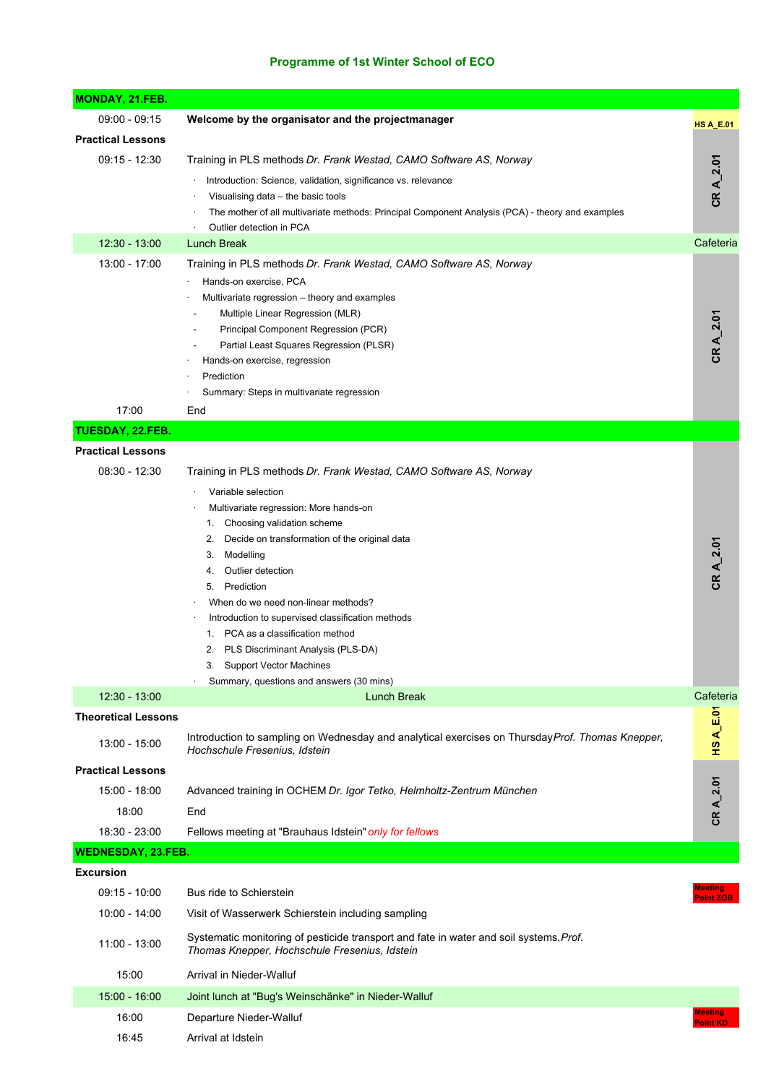## **Programme of 1st Winter School of ECO**

| <b>MONDAY, 21.FEB.</b>                  |                                                                                                                                                                                                                                                                                                                                                                                                                                                                                                                                                      |                      |
|-----------------------------------------|------------------------------------------------------------------------------------------------------------------------------------------------------------------------------------------------------------------------------------------------------------------------------------------------------------------------------------------------------------------------------------------------------------------------------------------------------------------------------------------------------------------------------------------------------|----------------------|
| $09:00 - 09:15$                         | Welcome by the organisator and the projectmanager                                                                                                                                                                                                                                                                                                                                                                                                                                                                                                    | <b>HS A_E.01</b>     |
| <b>Practical Lessons</b>                |                                                                                                                                                                                                                                                                                                                                                                                                                                                                                                                                                      |                      |
| $09:15 - 12:30$                         | Training in PLS methods Dr. Frank Westad, CAMO Software AS, Norway<br>Introduction: Science, validation, significance vs. relevance<br>Visualising data – the basic tools<br>The mother of all multivariate methods: Principal Component Analysis (PCA) - theory and examples<br>Outlier detection in PCA                                                                                                                                                                                                                                            | CR A_2.01            |
| 12:30 - 13:00                           | Lunch Break                                                                                                                                                                                                                                                                                                                                                                                                                                                                                                                                          | Cafeteria            |
| 13:00 - 17:00<br>17:00                  | Training in PLS methods Dr. Frank Westad, CAMO Software AS, Norway<br>Hands-on exercise, PCA<br>Multivariate regression – theory and examples<br>Multiple Linear Regression (MLR)<br>Principal Component Regression (PCR)<br>Partial Least Squares Regression (PLSR)<br>Hands-on exercise, regression<br>Prediction<br>Summary: Steps in multivariate regression<br>End                                                                                                                                                                              | CR A_2.01            |
| TUESDAY, 22.FEB.                        |                                                                                                                                                                                                                                                                                                                                                                                                                                                                                                                                                      |                      |
| <b>Practical Lessons</b>                |                                                                                                                                                                                                                                                                                                                                                                                                                                                                                                                                                      |                      |
| $08:30 - 12:30$                         | Training in PLS methods Dr. Frank Westad, CAMO Software AS, Norway<br>Variable selection<br>Multivariate regression: More hands-on<br>1. Choosing validation scheme<br>2. Decide on transformation of the original data<br>3. Modelling<br>Outlier detection<br>4.<br>5. Prediction<br>When do we need non-linear methods?<br>Introduction to supervised classification methods<br>1. PCA as a classification method<br>PLS Discriminant Analysis (PLS-DA)<br>2.<br>3.<br><b>Support Vector Machines</b><br>Summary, questions and answers (30 mins) | CR A_2.01            |
| 12:30 - 13:00                           | <b>Lunch Break</b>                                                                                                                                                                                                                                                                                                                                                                                                                                                                                                                                   | Cafeteria            |
| <b>Theoretical Lessons</b>              |                                                                                                                                                                                                                                                                                                                                                                                                                                                                                                                                                      |                      |
| 13:00 - 15:00                           | Introduction to sampling on Wednesday and analytical exercises on Thursday Prof. Thomas Knepper,<br>Hochschule Fresenius, Idstein                                                                                                                                                                                                                                                                                                                                                                                                                    | $HS A_E.01$          |
| <b>Practical Lessons</b>                |                                                                                                                                                                                                                                                                                                                                                                                                                                                                                                                                                      |                      |
| 15:00 - 18:00<br>18:00<br>18:30 - 23:00 | Advanced training in OCHEM Dr. Igor Tetko, Helmholtz-Zentrum München<br>End<br>Fellows meeting at "Brauhaus Idstein" only for fellows                                                                                                                                                                                                                                                                                                                                                                                                                | CR A_2.01            |
| WEDNESDAY, 23.FEB.                      |                                                                                                                                                                                                                                                                                                                                                                                                                                                                                                                                                      |                      |
| <b>Excursion</b>                        |                                                                                                                                                                                                                                                                                                                                                                                                                                                                                                                                                      |                      |
| $09:15 - 10:00$                         | Bus ride to Schierstein                                                                                                                                                                                                                                                                                                                                                                                                                                                                                                                              | leeting<br>Point ZOB |
| 10:00 - 14:00                           | Visit of Wasserwerk Schierstein including sampling                                                                                                                                                                                                                                                                                                                                                                                                                                                                                                   |                      |
| 11:00 - 13:00                           | Systematic monitoring of pesticide transport and fate in water and soil systems, Prof.<br>Thomas Knepper, Hochschule Fresenius, Idstein                                                                                                                                                                                                                                                                                                                                                                                                              |                      |
| 15:00                                   | Arrival in Nieder-Walluf                                                                                                                                                                                                                                                                                                                                                                                                                                                                                                                             |                      |
| 15:00 - 16:00                           | Joint lunch at "Bug's Weinschänke" in Nieder-Walluf                                                                                                                                                                                                                                                                                                                                                                                                                                                                                                  |                      |
| 16:00                                   | Departure Nieder-Walluf                                                                                                                                                                                                                                                                                                                                                                                                                                                                                                                              | Meeting<br>Point KD  |
| 16:45                                   | Arrival at Idstein                                                                                                                                                                                                                                                                                                                                                                                                                                                                                                                                   |                      |